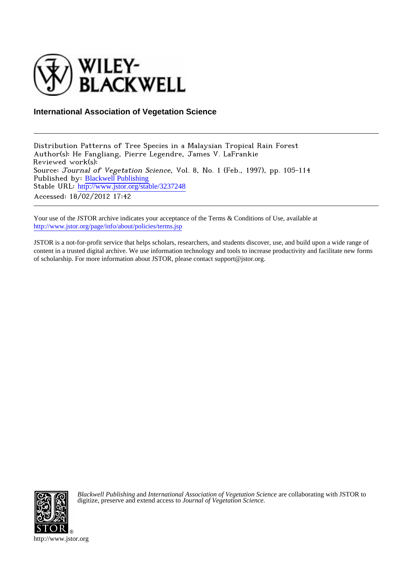

# **International Association of Vegetation Science**

Distribution Patterns of Tree Species in a Malaysian Tropical Rain Forest Author(s): He Fangliang, Pierre Legendre, James V. LaFrankie Reviewed work(s): Source: Journal of Vegetation Science, Vol. 8, No. 1 (Feb., 1997), pp. 105-114 Published by: [Blackwell Publishing](http://www.jstor.org/action/showPublisher?publisherCode=black) Stable URL: [http://www.jstor.org/stable/3237248](http://www.jstor.org/stable/3237248?origin=JSTOR-pdf) Accessed: 18/02/2012 17:42

Your use of the JSTOR archive indicates your acceptance of the Terms & Conditions of Use, available at <http://www.jstor.org/page/info/about/policies/terms.jsp>

JSTOR is a not-for-profit service that helps scholars, researchers, and students discover, use, and build upon a wide range of content in a trusted digital archive. We use information technology and tools to increase productivity and facilitate new forms of scholarship. For more information about JSTOR, please contact support@jstor.org.



*Blackwell Publishing* and *International Association of Vegetation Science* are collaborating with JSTOR to digitize, preserve and extend access to *Journal of Vegetation Science.*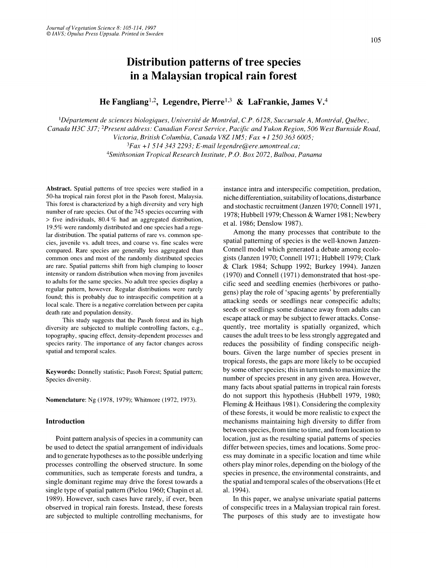# **Distribution patterns of tree species in a Malaysian tropical rain forest**

# **He Fangliang**<sup>1,2</sup>, Legendre, Pierre<sup>1,3</sup> & LaFrankie, James V.<sup>4</sup>

<sup>1</sup>Département de sciences biologiques, Université de Montréal, C.P. 6128, Succursale A, Montréal, Québec, **Canada H3C 3J7; 2Present address: Canadian Forest Service, Pacific and Yukon Region, 506 West Burnside Road, Victoria, British Columbia, Canada V8Z IM5; Fax +1 250 363 6005; 3Fax +1 514 343 2293; E-mail legendre@ere.umontreal.ca; 4Smithsonian Tropical Research Institute, P.O. Box 2072, Balboa, Panama** 

**Abstract. Spatial patterns of tree species were studied in a 50-ha tropical rain forest plot in the Pasoh forest, Malaysia. This forest is characterized by a high diversity and very high number of rare species. Out of the 745 species occurring with > five individuals, 80.4 % had an aggregated distribution, 19.5% were randomly distributed and one species had a regular distribution. The spatial patterns of rare vs. common species, juvenile vs. adult trees, and coarse vs. fine scales were compared. Rare species are generally less aggregated than common ones and most of the randomly distributed species are rare. Spatial patterns shift from high clumping to looser intensity or random distribution when moving from juveniles to adults for the same species. No adult tree species display a regular pattern, however. Regular distributions were rarely found; this is probably due to intraspecific competition at a local scale. There is a negative correlation between per capita death rate and population density.** 

**This study suggests that the Pasoh forest and its high diversity are subjected to multiple controlling factors, e.g., topography, spacing effect, density-dependent processes and species rarity. The importance of any factor changes across spatial and temporal scales.** 

**Keywords: Donnelly statistic; Pasoh Forest; Spatial pattern; Species diversity.** 

**Nomenclature: Ng (1978, 1979); Whitmore (1972, 1973).** 

# **Introduction**

**Point pattern analysis of species in a community can be used to detect the spatial arrangement of individuals and to generate hypotheses as to the possible underlying processes controlling the observed structure. In some communities, such as temperate forests and tundra, a single dominant regime may drive the forest towards a single type of spatial pattern (Pielou 1960; Chapin et al. 1989). However, such cases have rarely, if ever, been observed in tropical rain forests. Instead, these forests are subjected to multiple controlling mechanisms, for**  **instance intra and interspecific competition, predation, niche differentiation, suitability of locations, disturbance and stochastic recruitment (Janzen 1970; Connell 1971, 1978; Hubbell 1979; Chesson & Warner 1981; Newbery et al. 1986; Denslow 1987).** 

**Among the many processes that contribute to the spatial patterning of species is the well-known Janzen-Connell model which generated a debate among ecologists (Janzen 1970; Connell 1971; Hubbell 1979; Clark & Clark 1984; Schupp 1992; Burkey 1994). Janzen (1970) and Connell (1971) demonstrated that host-specific seed and seedling enemies (herbivores or pathogens) play the role of 'spacing agents' by preferentially attacking seeds or seedlings near conspecific adults; seeds or seedlings some distance away from adults can escape attack or may be subject to fewer attacks. Consequently, tree mortality is spatially organized, which causes the adult trees to be less strongly aggregated and reduces the possibility of finding conspecific neighbours. Given the large number of species present in tropical forests, the gaps are more likely to be occupied by some other species; this in turn tends to maximize the number of species present in any given area. However, many facts about spatial patterns in tropical rain forests do not support this hypothesis (Hubbell 1979, 1980; Fleming & Heithaus 1981). Considering the complexity of these forests, it would be more realistic to expect the mechanisms maintaining high diversity to differ from between species, from time to time, and from location to location, just as the resulting spatial patterns of species differ between species, times and locations. Some process may dominate in a specific location and time while others play minor roles, depending on the biology of the species in presence, the environmental constraints, and the spatial and temporal scales of the observations (He et al. 1994).** 

**In this paper, we analyse univariate spatial patterns of conspecific trees in a Malaysian tropical rain forest. The purposes of this study are to investigate how**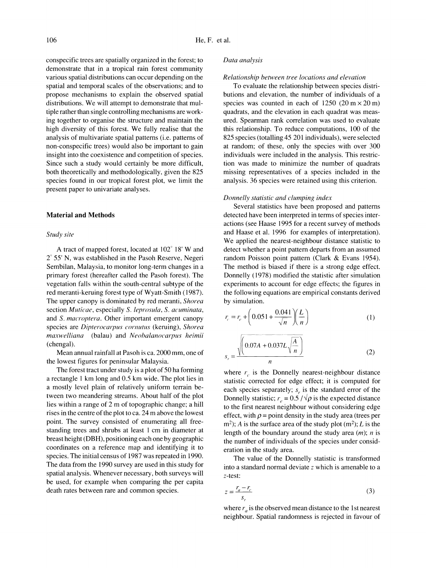**conspecific trees are spatially organized in the forest; to demonstrate that in a tropical rain forest community various spatial distributions can occur depending on the spatial and temporal scales of the observations; and to propose mechanisms to explain the observed spatial distributions. We will attempt to demonstrate that multiple rather than single controlling mechanisms are working together to organise the structure and maintain the high diversity of this forest. We fully realise that the analysis of multivariate spatial patterns (i.e. patterns of non-conspecific trees) would also be important to gain insight into the coexistence and competition of species. Since such a study would certainly be more difficult, both theoretically and methodologically, given the 825 species found in our tropical forest plot, we limit the present paper to univariate analyses.** 

# **Material and Methods**

#### **Study site**

**A tract of mapped forest, located at 102? 18' W and 2? 55' N, was established in the Pasoh Reserve, Negeri Sembilan, Malaysia, to monitor long-term changes in a primary forest (hereafter called the Pasoh forest). The vegetation falls within the south-central subtype of the red meranti-keruing forest type of Wyatt-Smith (1987). The upper canopy is dominated by red meranti, Shorea section Muticae, especially S. leprosula, S. acuminata, and S. macroptera. Other important emergent canopy species are Dipterocarpus cornutus (keruing), Shorea maxwelliana (balau) and Neobalanocarpus heimii (chengal).** 

**Mean annual rainfall at Pasoh is ca. 2000 mm, one of the lowest figures for peninsular Malaysia.** 

**The forest tract under study is a plot of 50 ha forming a rectangle 1 km long and 0.5 km wide. The plot lies in a mostly level plain of relatively uniform terrain between two meandering streams. About half of the plot lies within a range of 2 m of topographic change; a hill rises in the centre of the plot to ca. 24 m above the lowest point. The survey consisted of enumerating all freestanding trees and shrubs at least 1 cm in diameter at breast height (DBH), positioning each one by geographic coordinates on a reference map and identifying it to species. The initial census of 1987 was repeated in 1990. The data from the 1990 survey are used in this study for spatial analysis. Whenever necessary, both surveys will be used, for example when comparing the per capita death rates between rare and common species.** 

#### **Data analysis**

#### **Relationship between tree locations and elevation**

**To evaluate the relationship between species distributions and elevation, the number of individuals of a**  species was counted in each of  $1250$   $(20 \text{ m} \times 20 \text{ m})$ **quadrats, and the elevation in each quadrat was measured. Spearman rank correlation was used to evaluate this relationship. To reduce computations, 100 of the 825 species (totalling 45 201 individuals), were selected at random; of these, only the species with over 300 individuals were included in the analysis. This restriction was made to minimize the number of quadrats missing representatives of a species included in the analysis. 36 species were retained using this criterion.** 

# **Donnelly statistic and clumping index**

**Several statistics have been proposed and patterns detected have been interpreted in terms of species interactions (see Haase 1995 for a recent survey of methods and Haase et al. 1996 for examples of interpretation). We applied the nearest-neighbour distance statistic to detect whether a point pattern departs from an assumed random Poisson point pattern (Clark & Evans 1954). The method is biased if there is a strong edge effect. Donnelly (1978) modified the statistic after simulation experiments to account for edge effects; the figures in the following equations are empirical constants derived by simulation.** 

$$
r_c = r_e + \left(0.051 + \frac{0.041}{\sqrt{n}}\right)\left(\frac{L}{n}\right)
$$
 (1)

$$
s_r = \frac{\sqrt{\left(0.07A + 0.037L\sqrt{\frac{A}{n}}\right)}}{n}
$$
 (2)

where  $r_c$  is the Donnelly nearest-neighbour distance **statistic corrected for edge effect; it is computed for**  each species separately;  $s_r$  is the standard error of the **Donnelly statistic;**  $r_e = 0.5 / \sqrt{\rho}$  is the expected distance **to the first nearest neighbour without considering edge**  effect, with  $\rho$  = point density in the study area (trees per  $m^2$ ; *A* is the surface area of the study plot  $(m^2)$ ; *L* is the **length of the boundary around the study area (m); n is the number of individuals of the species under consideration in the study area.** 

**The value of the Donnelly statistic is transformed into a standard normal deviate z which is amenable to a z-test:** 

$$
z = \frac{r_a - r_c}{s_r} \tag{3}
$$

where  $r_a$  is the observed mean distance to the 1st nearest **neighbour. Spatial randomness is rejected in favour of**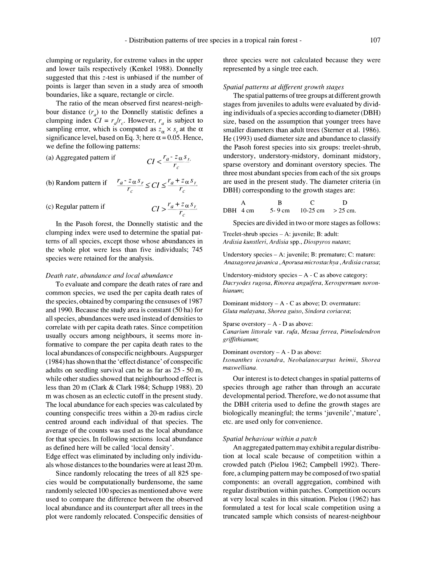**clumping or regularity, for extreme values in the upper and lower tails respectively (Kenkel 1988). Donnelly suggested that this z-test is unbiased if the number of points is larger than seven in a study area of smooth boundaries, like a square, rectangle or circle.** 

**The ratio of the mean observed first nearest-neigh**bour distance  $(r_a)$  to the Donnelly statistic defines a clumping index  $CI = r_a/r_c$ . However,  $r_a$  is subject to sampling error, which is computed as  $z_{\alpha} \times s_{r}$  at the  $\alpha$ significance level, based on Eq. 3; here  $\alpha$  = 0.05. Hence, **we define the following patterns:** 

(a) Aggregated pattern if 
$$
CI < \frac{r_a - z_\alpha s_r}{r_c}
$$

- **(b) Random pattern if**   $r_a$  -  $z_\alpha s_r$   $\lt C$ *I*  $\lt \frac{r_a + z_\alpha s_r}{r_a + z_\alpha s_r}$  $c \qquad \qquad$
- **(c) Regular pattern if**

$$
CI > \frac{r_a + z_{\alpha} s_r}{r_c}
$$

**In the Pasoh forest, the Donnelly statistic and the clumping index were used to determine the spatial patterns of all species, except those whose abundances in the whole plot were less than five individuals; 745 species were retained for the analysis.** 

#### **Death rate, abundance and local abundance**

**To evaluate and compare the death rates of rare and common species, we used the per capita death rates of the species, obtained by comparing the censuses of 1987 and 1990. Because the study area is constant (50 ha) for all species, abundances were used instead of densities to correlate with per capita death rates. Since competition usually occurs among neighbours, it seems more informative to compare the per capita death rates to the local abundances of conspecific neighbours. Augspurger (1984) has shown that the 'effect distance' of conspecific adults on seedling survival can be as far as 25 - 50 m, while other studies showed that neighbourhood effect is less than 20 m (Clark & Clark 1984; Schupp 1988). 20 m was chosen as an eclectic cutoff in the present study. The local abundance for each species was calculated by counting conspecific trees within a 20-m radius circle centred around each individual of that species. The average of the counts was used as the local abundance for that species. In following sections local abundance as defined here will be called 'local density'.** 

**Edge effect was eliminated by including only individuals whose distances to the boundaries were at least 20 m.** 

**Since randomly relocating the trees of all 825 species would be computationally burdensome, the same randomly selected 100 species as mentioned above were used to compare the difference between the observed local abundance and its counterpart after all trees in the plot were randomly relocated. Conspecific densities of**  **three species were not calculated because they were represented by a single tree each.** 

#### **Spatial patterns at different growth stages**

**The spatial patterns of tree groups at different growth stages from juveniles to adults were evaluated by dividing individuals of a species according to diameter (DBH) size, based on the assumption that younger trees have smaller diameters than adult trees (Sterner et al. 1986). He (1993) used diameter size and abundance to classify the Pasoh forest species into six groups: treelet-shrub, understory, understory-midstory, dominant midstory, sparse overstory and dominant overstory species. The three most abundant species from each of the six groups are used in the present study. The diameter criteria (in DBH) corresponding to the growth stages are:** 

$$
AB = C = D
$$
  
DBH 4 cm 5-9 cm 10-25 cm > 25 cm.

**Species are divided in two or more stages as follows:** 

**Treelet-shrub species - A: juvenile; B: adult: Ardisia kunstleri, Ardisia spp., Diospyros nutans;** 

**Understory species - A: juvenile; B: premature; C: mature: Anaxagoreajavanica ,Aporusa microstachya, Ardisia crassa;** 

**Understory-midstory species - A - C as above category: Dacryodes rugosa, Rinorea anguifera, Xerospermum noronhianum;** 

**Dominant midstory - A - C as above; D: overmature: Gluta malayana, Shorea guiso, Sindora coriacea;** 

**Sparse overstory - A - D as above: Canarium littorale var. rufa, Mesua ferrea, Pimelodendron griffithianum;** 

**Dominant overstory - A - D as above:** 

**Ixonanthes icosandra, Neobalanocarpus heimii, Shorea maxwelliana.** 

**Our interest is to detect changes in spatial patterns of species through age rather than through an accurate developmental period. Therefore, we do not assume that the DBH criteria used to define the growth stages are biologically meaningful; the terms 'juvenile','mature', etc. are used only for convenience.** 

#### **Spatial behaviour within a patch**

**An aggregated pattern may exhibit a regular distribution at local scale because of competition within a crowded patch (Pielou 1962; Campbell 1992). Therefore, a clumping pattern may be composed of two spatial components: an overall aggregation, combined with regular distribution within patches. Competition occurs at very local scales in this situation. Pielou (1962) has formulated a test for local scale competition using a truncated sample which consists of nearest-neighbour**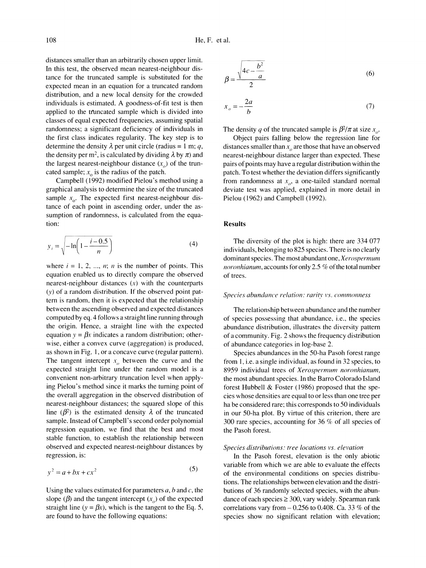$\overline{1}$ 

**distances smaller than an arbitrarily chosen upper limit. In this test, the observed mean nearest-neighbour distance for the truncated sample is substituted for the expected mean in an equation for a truncated random distribution, and a new local density for the crowded individuals is estimated. A goodness-of-fit test is then applied to the truncated sample which is divided into classes of equal expected frequencies, assuming spatial randomness; a significant deficiency of individuals in the first class indicates regularity. The key step is to**  determine the density  $\lambda$  per unit circle (radius = 1 m; q, the density per m<sup>2</sup>, is calculated by dividing  $\lambda$  by  $\pi$ ) and the largest nearest-neighbour distance  $(x_0)$  of the truncated sample;  $x_0$  is the radius of the patch.

**Campbell (1992) modified Pielou's method using a graphical analysis to determine the size of the truncated**  sample  $x_0$ . The expected first nearest-neighbour dis**tance of each point in ascending order, under the assumption of randomness, is calculated from the equation:** 

$$
y_i = \sqrt{-\ln\left(1 - \frac{i - 0.5}{n}\right)}\tag{4}
$$

where  $i = 1, 2, ..., n$ ; *n* is the number of points. This **equation enabled us to directly compare the observed nearest-neighbour distances (x) with the counterparts (y) of a random distribution. If the observed point pattern is random, then it is expected that the relationship between the ascending observed and expected distances computed by eq. 4 follows a straight line running through the origin. Hence, a straight line with the expected**  equation  $y = \beta x$  indicates a random distribution; other**wise, either a convex curve (aggregation) is produced, as shown in Fig. 1, or a concave curve (regular pattern).**  The tangent intercept  $x<sub>o</sub>$  between the curve and the **expected straight line under the random model is a convenient non-arbitrary truncation level when applying Pielou's method since it marks the turning point of the overall aggregation in the observed distribution of nearest-neighbour distances; the squared slope of this**  line ( $\beta$ <sup>2</sup>) is the estimated density  $\lambda$  of the truncated **sample. Instead of Campbell's second order polynomial regression equation, we find that the best and most stable function, to establish the relationship between observed and expected nearest-neighbour distances by regression, is:** 

$$
y^2 = a + bx + cx^2 \tag{5}
$$

**Using the values estimated for parameters a, b and c, the**  slope ( $\beta$ ) and the tangent intercept  $(x_0)$  of the expected straight line ( $y = \beta x$ ), which is the tangent to the Eq. 5, **are found to have the following equations:** 

$$
B = \frac{\sqrt{4c - \frac{b^2}{a}}}{2}
$$
 (6)

$$
x_o = -\frac{2a}{b} \tag{7}
$$

The density q of the truncated sample is  $\beta^2/\pi$  at size  $x_o$ .

**Object pairs falling below the regression line for**  distances smaller than  $x_0$  are those that have an observed **nearest-neighbour distance larger than expected. These pairs of points may have a regular distribution within the patch. To test whether the deviation differs significantly**  from randomness at  $x<sub>o</sub>$ , a one-tailed standard normal **deviate test was applied, explained in more detail in Pielou (1962) and Campbell (1992).** 

### **Results**

**The diversity of the plot is high: there are 334 077 individuals, belonging to 825 species. There is no clearly dominant species. The most abundant one, Xerospermum lnoronhianum, accounts for only 2.5 % of the total number of trees.** 

#### Species abundance relation: rarity vs. commonness

**The relationship between abundance and the number of species possessing that abundance, i.e., the species abundance distribution, illustrates the diversity pattern of a community. Fig. 2 shows the frequency distribution of abundance categories in log-base 2.** 

**Species abundances in the 50-ha Pasoh forest range from 1, i.e. a single individual, as found in 32 species, to**  8959 individual trees of Xerospermum noronhianum, **the most abundant species. In the Barro Colorado Island forest Hubbell & Foster (1986) proposed that the species whose densities are equal to or less than one tree per ha be considered rare; this corresponds to 50 individuals in our 50-ha plot. By virtue of this criterion, there are 300 rare species, accounting for 36 % of all species of the Pasoh forest.** 

#### **Species distributions. tree locations vs. elevation**

**In the Pasoh forest, elevation is the only abiotic variable from which we are able to evaluate the effects of the environmental conditions on species distributions. The relationships between elevation and the distributions of 36 randomly selected species, with the abundance of each species > 300, vary widely. Spearman rank correlations vary from - 0.256 to 0.408. Ca. 33 % of the species show no significant relation with elevation;**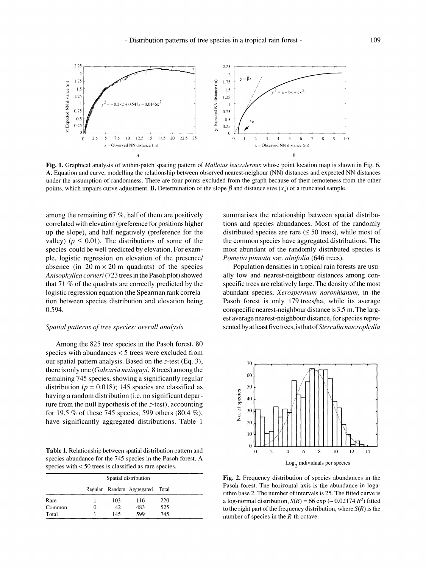

**Fig. 1. Graphical analysis of within-patch spacing pattern of Mallotus leucodermis whose point location map is shown in Fig. 6. A. Equation and curve, modelling the relationship between observed nearest-neighour (NN) distances and expected NN distances under the assumption of randomness. There are four points excluded from the graph because of their remoteness from the other**  points, which impairs curve adjustment. **B.** Determination of the slope  $\beta$  and distance size  $(x_0)$  of a truncated sample.

**among the remaining 67 %, half of them are positively correlated with elevation (preference for positions higher up the slope), and half negatively (preference for the**  valley) ( $p \leq 0.01$ ). The distributions of some of the **species could be well predicted by elevation. For example, logistic regression on elevation of the presence/**  absence (in  $20 \text{ m} \times 20 \text{ m}$  quadrats) of the species **Anisophyllea corneri (723 trees in the Pasoh plot) showed that 71 % of the quadrats are correctly predicted by the logistic regression equation (the Spearman rank correlation between species distribution and elevation being 0.594.** 

# **Spatial patterns of tree species: overall analysis**

**Among the 825 tree species in the Pasoh forest, 80 species with abundances < 5 trees were excluded from our spatial pattern analysis. Based on the z-test (Eq. 3), there is only one (Galearia maingayi, 8 trees) among the remaining 745 species, showing a significantly regular**  distribution ( $p = 0.018$ ); 145 species are classified as **having a random distribution (i.e. no significant departure from the null hypothesis of the z-test), accounting for 19.5 % of these 745 species; 599 others (80.4 %), have significantly aggregated distributions. Table 1** 

**Table 1. Relationship between spatial distribution pattern and species abundance for the 745 species in the Pasoh forest. A species with < 50 trees is classified as rare species.** 

|        |   | Spatial distribution |                           |       |  |
|--------|---|----------------------|---------------------------|-------|--|
|        |   |                      | Regular Random Aggregated | Total |  |
| Rare   |   | 103                  | 116                       | 220   |  |
| Common | 0 | 42                   | 483                       | 525   |  |
| Total  |   | 145                  | 599                       | 745   |  |

**summarises the relationship between spatial distributions and species abundances. Most of the randomly**  distributed species are rare  $(\leq 50$  trees), while most of **the common species have aggregated distributions. The most abundant of the randomly distributed species is Pometia pinnata var. alnifolia (646 trees).** 

**Population densities in tropical rain forests are usually low and nearest-neighbour distances among conspecific trees are relatively large. The density of the most abundant species, Xerospermum noronhianum, in the Pasoh forest is only 179 trees/ha, while its average conspecific nearest-neighbour distance is 3.5 m. The largest average nearest-neighbour distance, for species represented by at least five trees, is that of Sterculia macrophylla** 



**Fig. 2. Frequency distribution of species abundances in the Pasoh forest. The horizontal axis is the abundance in logarithm base 2. The number of intervals is 25. The fitted curve is**  a log-normal distribution,  $S(R) = 66 \exp(-0.02174 R^2)$  fitted to the right part of the frequency distribution, where  $S(R)$  is the **number of species in the R-th octave.**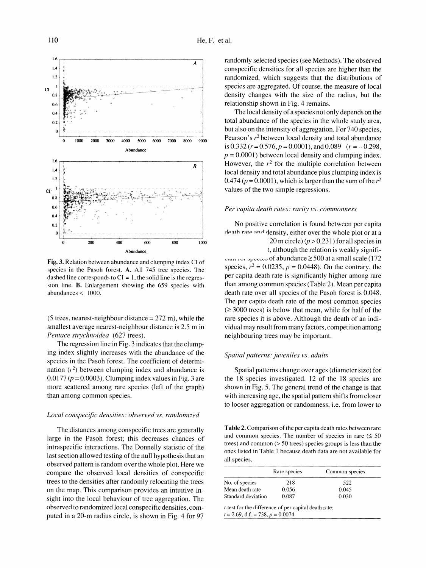

**Fig. 3. Relation between abundance and clumping index CI of species in the Pasoh forest. A. All 745 tree species. The dashed line corresponds to CI = 1, the solid line is the regression line. B. Enlargement showing the 659 species with abundances < 1000.** 

**(5 trees, nearest-neighbour distance = 272 m), while the smallest average nearest-neighbour distance is 2.5 m in Pentace strychnoidea (627 trees).** 

**The regression line in Fig. 3 indicates that the clumping index slightly increases with the abundance of the species in the Pasoh forest. The coefficient of determi**nation  $(r^2)$  between clumping index and abundance is **0.0177 (p = 0.0003). Clumping index values in Fig. 3 are more scattered among rare species (left of the graph) than among common species.** 

#### **Local conspecific densities: observed vs. randomized**

**The distances among conspecific trees are generally large in the Pasoh forest; this decreases chances of intraspecific interactions. The Donnelly statistic of the last section allowed testing of the null hypothesis that an observed pattern is random over the whole plot. Here we compare the observed local densities of conspecific trees to the densities after randomly relocating the trees on the map. This comparison provides an intuitive insight into the local behaviour of tree aggregation. The observed to randomized local conspecific densities, computed in a 20-m radius circle, is shown in Fig. 4 for 97** 

**randomly selected species (see Methods). The observed conspecific densities for all species are higher than the randomized, which suggests that the distributions of species are aggregated. Of course, the measure of local density changes with the size of the radius, but the relationship shown in Fig. 4 remains.** 

**The local density of a species not only depends on the total abundance of the species in the whole study area, but also on the intensity of aggregation. For 740 species, Pearson's r2 between local density and total abundance is 0.332 (r= 0.576,p = 0.0001), and 0.089 (r =- 0.298,**   $p = 0.0001$ ) between local density and clumping index. **However, the r2 for the multiple correlation between local density and total abundance plus clumping index is**  0.474 ( $p = 0.0001$ ), which is larger than the sum of the  $r<sup>2</sup>$ **values of the two simple regressions.** 

### **Per capita death rates: rarity vs. commonness**

**No positive correlation is found between per capita**  death rate and density, either over the whole plot or at a **.20 m circle) (p > 0.231) for all species in** 

**t, although the relation is weakly signifi-** 

**........ .... of abundance > 500 at a small scale (172**  species,  $r^2 = 0.0235$ ,  $p = 0.0448$ ). On the contrary, the **per capita death rate is significantly higher among rare than among common species (Table 2). Mean per capita death rate over all species of the Pasoh forest is 0.048. The per capita death rate of the most common species**   $(\geq 3000$  trees) is below that mean, while for half of the **rare species it is above. Although the death of an individual may result from many factors, competition among neighbouring trees may be important.** 

# **Spatial patterns: juveniles vs. adults**

**Spatial patterns change over ages (diameter size) for the 18 species investigated. 12 of the 18 species are shown in Fig. 5. The general trend of the change is that with increasing age, the spatial pattern shifts from closer to looser aggregation or randomness, i.e. from lower to** 

**Table 2. Comparison of the per capita death rates between rare**  and common species. The number of species in rare  $(\leq 50)$ **trees) and common (> 50 trees) species groups is less than the ones listed in Table 1 because death data are not available for all species.** 

|                    | Rare species | Common species |
|--------------------|--------------|----------------|
| No. of species     | 218          | 522            |
| Mean death rate    | 0.056        | 0.045          |
| Standard deviation | 0.087        | 0.030          |

**t-test for the difference of per capital death rate: t = 2.69, d.f. = 738, p = 0.0074**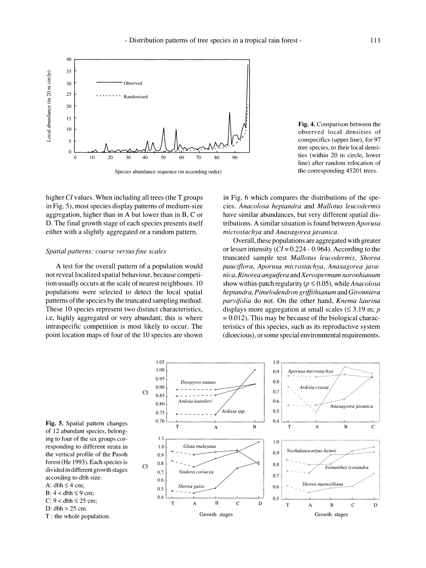

**Species abundance sequence (in ascending order)** 

**Fig. 4. Comparison between the observed local densities of conspecifics (upper line), for 97 tree species, to their local densities (within 20 m circle, lower line) after random relocation of the corresponding 45201 trees.** 

**higher CI values. When including all trees (the T groups in Fig. 5), most species display patterns of medium-size aggregation, higher than in A but lower than in B, C or D. The final growth stage of each species presents itself either with a slightly aggregated or a random pattern.** 

#### **Spatial patterns: coarse versus fine scales**

**A test for the overall pattern of a population would not reveal localized spatial behaviour, because competition usually occurs at the scale of nearest neighbours. 10 populations were selected to detect the local spatial patterns of the species by the truncated sampling method. These 10 species represent two distinct characteristics, i.e, highly aggregated or very abundant; this is where intraspecific competition is most likely to occur. The point location maps of four of the 10 species are shown** 

**in Fig. 6 which compares the distributions of the species. Anacolosa heptandra and Mallotus leucodermis have similar abundances, but very different spatial distributions. A similar situation is found between Aporusa microstachya and Anaxagorea javanica.** 

**Overall, these populations are aggregated with greater**  or lesser intensity  $(CI = 0.224 - 0.964)$ . According to the **truncated sample test Mallotus leucodermis, Shorea pauciflora, Aporusa microstachya, Anaxagorea javanica, Rinorea anguifera andXerospermum noronhianum**  show within-patch regularity ( $p \le 0.05$ ), while *Anacolosa* **heptandra, Pimelodendron griffithianum and Gironniera parvifolia do not. On the other hand, Knema laurina displays more aggregation at small scales (< 3.19 m; p = 0.012). This may be because of the biological characteristics of this species, such as its reproductive system (dioecious), or some special environmental requirements.** 



**11I**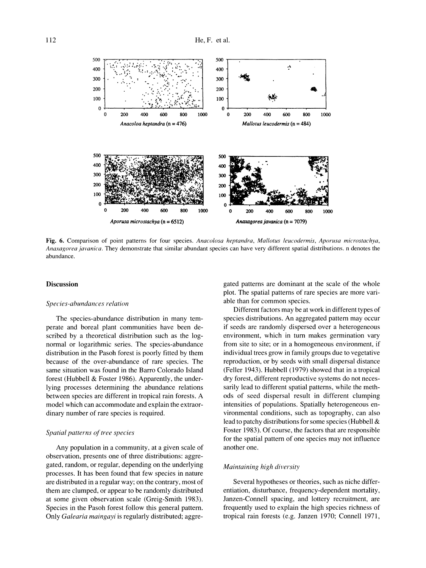

**Fig. 6. Comparison of point patterns for four species. Anacolosa heptandra, Mallotus leucodermis, Aporusa microstachya, Anaxagorea javanica. They demonstrate that similar abundant species can have very different spatial distributions. n denotes the abundance.** 

### **Discussion**

#### **Species-abundances relation**

**The species-abundance distribution in many temperate and boreal plant communities have been described by a theoretical distribution such as the lognormal or logarithmic series. The species-abundance distribution in the Pasoh forest is poorly fitted by them because of the over-abundance of rare species. The same situation was found in the Barro Colorado Island forest (Hubbell & Foster 1986). Apparently, the underlying processes determining the abundance relations between species are different in tropical rain forests. A model which can accommodate and explain the extraordinary number of rare species is required.** 

#### **Spatial patterns of tree species**

**Any population in a community, at a given scale of observation, presents one of three distributions: aggregated, random, or regular, depending on the underlying processes. It has been found that few species in nature are distributed in a regular way; on the contrary, most of them are clumped, or appear to be randomly distributed at some given observation scale (Greig-Smith 1983). Species in the Pasoh forest follow this general pattern. Only Galearia maingayi is regularly distributed; aggre-** **gated patterns are dominant at the scale of the whole plot. The spatial patterns of rare species are more variable than for common species.** 

**Different factors may be at work in different types of species distributions. An aggregated pattern may occur if seeds are randomly dispersed over a heterogeneous environment, which in turn makes germination vary from site to site; or in a homogeneous environment, if individual trees grow in family groups due to vegetative reproduction, or by seeds with small dispersal distance (Feller 1943). Hubbell (1979) showed that in a tropical dry forest, different reproductive systems do not necessarily lead to different spatial patterns, while the methods of seed dispersal result in different clumping intensities of populations. Spatially heterogeneous environmental conditions, such as topography, can also lead to patchy distributions for some species (Hubbell & Foster 1983). Of course, the factors that are responsible for the spatial pattern of one species may not influence another one.** 

# **Maintaining high diversity**

**Several hypotheses or theories, such as niche differentiation, disturbance, frequency-dependent mortality, Janzen-Connell spacing, and lottery recruitment, are frequently used to explain the high species richness of tropical rain forests (e.g. Janzen 1970; Connell 1971,**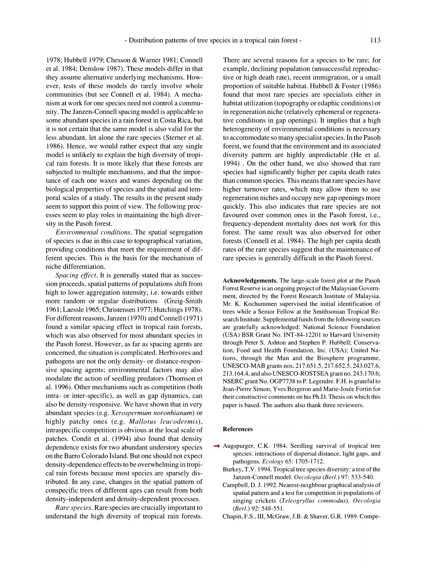**1978; Hubbell 1979; Chesson & Warner 1981; Connell et al. 1984; Denslow 1987). These models differ in that they assume alternative underlying mechanisms. However, tests of these models do rarely involve whole communities (but see Connell et al. 1984). A mechanism at work for one species need not control a community. The Janzen-Connell spacing model is applicable to some abundant species in a rain forest in Costa Rica, but it is not certain that the same model is also valid for the less abundant, let alone the rare species (Sterner et al. 1986). Hence, we would rather expect that any single model is unlikely to explain the high diversity of tropical rain forests. It is more likely that these forests are subjected to multiple mechanisms, and that the importance of each one waxes and wanes depending on the biological properties of species and the spatial and temporal scales of a study. The results in the present study seem to support this point of view. The following processes seem to play roles in maintaining the high diversity in the Pasoh forest.** 

**Environmental conditions. The spatial segregation of species is due in this case to topographical variation, providing conditions that meet the requirement of different species. This is the basis for the mechanism of niche differentiation.** 

**Spacing effect. It is generally stated that as succession proceeds, spatial patterns of populations shift from high to lower aggregation intensity, i.e. towards either more random or regular distributions (Greig-Smith 1961; Laessle 1965; Christensen 1977; Hutchings 1978). For different reasons, Janzen (1970) and Connell (1971) found a similar spacing effect in tropical rain forests, which was also observed for most abundant species in the Pasoh forest. However, as far as spacing agents are concerned, the situation is complicated. Herbivores and pathogens are not the only density- or distance-responsive spacing agents; environmental factors may also modulate the action of seedling predators (Thomson et al. 1996). Other mechanisms such as competition (both intra- or inter-specific), as well as gap dynamics, can also be density-responsive. We have shown that in very abundant species (e.g. Xerospermum noronhianum) or highly patchy ones (e.g. Mallotus leucodermis), intraspecific competition is obvious at the local scale of patches. Condit et al. (1994) also found that density dependence exists for two abundant understory species on the Barro Colorado Island. But one should not expect density-dependence effects to be overwhelming in tropical rain forests because most species are sparsely distributed. In any case, changes in the spatial pattern of conspecific trees of different ages can result from both density-independent and density-dependent processes.** 

**Rare species. Rare species are crucially important to understand the high diversity of tropical rain forests.** 

**There are several reasons for a species to be rare; for example, declining population (unsuccessful reproductive or high death rate), recent immigration, or a small proportion of suitable habitat. Hubbell & Foster (1986)**  found that most rare species are specialists either in **habitat utilization (topography or edaphic conditions) or in regeneration niche (relatively ephemeral or regenerative conditions in gap openings). It implies that a high heterogeneity of environmental conditions is necessary to accommodate so many specialist species. In the Pasoh forest, we found that the environment and its associated diversity pattern are highly unpredictable (He et al. 1994) . On the other hand, we also showed that rare species had significantly higher per capita death rates than common species. This means that rare species have higher turnover rates, which may allow them to use regeneration niches and occupy new gap openings more quickly. This also indicates that rare species are not favoured over common ones in the Pasoh forest, i.e., frequency-dependent mortality does not work for this forest. The same result was also observed for other forests (Connell et al. 1984). The high per capita death rates of the rare species suggest that the maintenance of rare species is generally difficult in the Pasoh forest.** 

**Acknowledgements. The large-scale forest plot at the Pasoh Forest Reserve is an ongoing project of the Malaysian Government, directed by the Forest Research Institute of Malaysia. Mr. K. Kochummen supervised the initial identification of trees while a Senior Fellow at the Smithsonian Tropical Research Institute. Supplemental funds from the following sources are gratefully acknowledged: National Science Foundation (USA) BSR Grant No. INT-84-12201 to Harvard University through Peter S. Ashton and Stephen P. Hubbell; Conservation, Food and Health Foundation, Inc. (USA); United Nations, through the Man and the Biosphere programme, UNESCO-MAB grants nos. 217.651.5,217.652.5,243.027.6, 213.164.4, and also UNESCO-ROSTSEA grant no. 243.170.6; NSERC grant No. OGP7738 to P. Legendre. F.H. is grateful to Jean-Pierre Simon, Yves Bergeron and Marie-Josee Fortin for their constructive comments on his Ph.D. Thesis on which this paper is based. The authors also thank three reviewers.** 

#### **References**

- **Augspurger, C.K. 1984. Seedling survival of tropical tree species: interactions of dispersal distance, light gaps, and pathogens. Ecology 65: 1705-1712.** 
	- **Burkey, T.V. 1994. Tropical tree species diversity: a test of the Janzen-Connell model. Oecologia (Berl.) 97: 533-540.**
	- **Campbell, D. J. 1992. Nearest-neighbour graphical analysis of spatial pattern and a test for competition in populations of singing crickets (Teleogryllus commodus). Oecologia (Berl.) 92: 548-551.**
	- **Chapin, F.S., III, McGraw, J.B. & Shaver, G.R. 1989. Compe-**